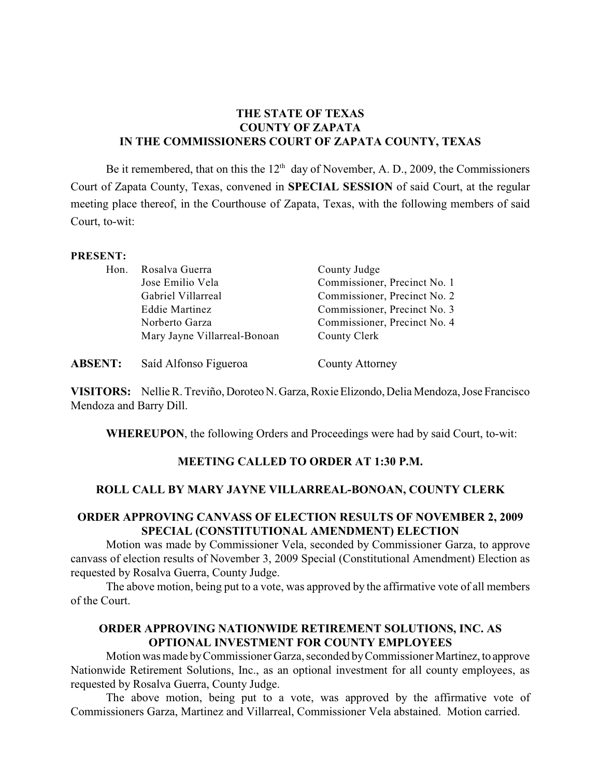# **THE STATE OF TEXAS COUNTY OF ZAPATA IN THE COMMISSIONERS COURT OF ZAPATA COUNTY, TEXAS**

Be it remembered, that on this the  $12<sup>th</sup>$  day of November, A. D., 2009, the Commissioners Court of Zapata County, Texas, convened in **SPECIAL SESSION** of said Court, at the regular meeting place thereof, in the Courthouse of Zapata, Texas, with the following members of said Court, to-wit:

#### **PRESENT:**

| Hon. | Rosalva Guerra               | County Judge                 |
|------|------------------------------|------------------------------|
|      | Jose Emilio Vela             | Commissioner, Precinct No. 1 |
|      | Gabriel Villarreal           | Commissioner, Precinct No. 2 |
|      | <b>Eddie Martinez</b>        | Commissioner, Precinct No. 3 |
|      | Norberto Garza               | Commissioner, Precinct No. 4 |
|      | Mary Jayne Villarreal-Bonoan | County Clerk                 |
|      |                              |                              |

**ABSENT:** Saíd Alfonso Figueroa County Attorney

**VISITORS:** Nellie R. Treviño, Doroteo N. Garza, Roxie Elizondo, Delia Mendoza, Jose Francisco Mendoza and Barry Dill.

**WHEREUPON**, the following Orders and Proceedings were had by said Court, to-wit:

### **MEETING CALLED TO ORDER AT 1:30 P.M.**

### **ROLL CALL BY MARY JAYNE VILLARREAL-BONOAN, COUNTY CLERK**

## **ORDER APPROVING CANVASS OF ELECTION RESULTS OF NOVEMBER 2, 2009 SPECIAL (CONSTITUTIONAL AMENDMENT) ELECTION**

Motion was made by Commissioner Vela, seconded by Commissioner Garza, to approve canvass of election results of November 3, 2009 Special (Constitutional Amendment) Election as requested by Rosalva Guerra, County Judge.

The above motion, being put to a vote, was approved by the affirmative vote of all members of the Court.

# **ORDER APPROVING NATIONWIDE RETIREMENT SOLUTIONS, INC. AS OPTIONAL INVESTMENT FOR COUNTY EMPLOYEES**

Motion was made by Commissioner Garza, seconded by Commissioner Martinez, to approve Nationwide Retirement Solutions, Inc., as an optional investment for all county employees, as requested by Rosalva Guerra, County Judge.

The above motion, being put to a vote, was approved by the affirmative vote of Commissioners Garza, Martinez and Villarreal, Commissioner Vela abstained. Motion carried.